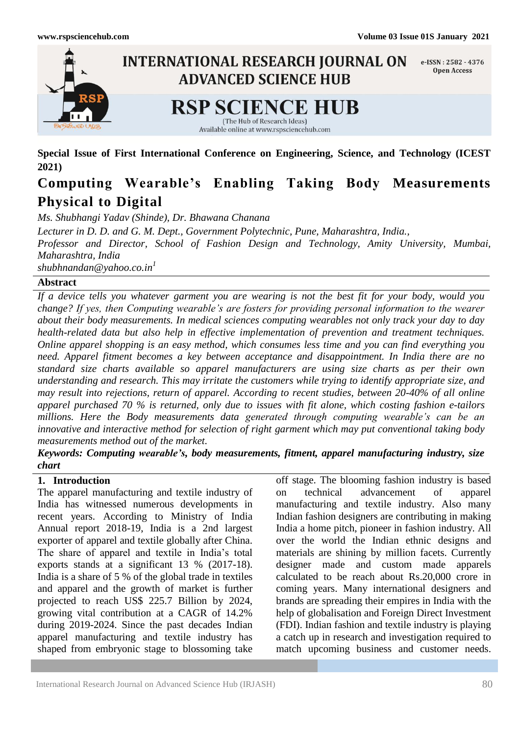

**Special Issue of First International Conference on Engineering, Science, and Technology (ICEST 2021)**

# **Computing Wearable's Enabling Taking Body Measurements Physical to Digital**

*Ms. Shubhangi Yadav (Shinde), Dr. Bhawana Chanana*

*Lecturer in D. D. and G. M. Dept., Government Polytechnic, Pune, Maharashtra, India.,*

*Professor and Director, School of Fashion Design and Technology, Amity University, Mumbai, Maharashtra, India*

*shubhnandan@yahoo.co.in<sup>1</sup>*

### **Abstract**

*If a device tells you whatever garment you are wearing is not the best fit for your body, would you change? If yes, then Computing wearable's are fosters for providing personal information to the wearer about their body measurements. In medical sciences computing wearables not only track your day to day health-related data but also help in effective implementation of prevention and treatment techniques. Online apparel shopping is an easy method, which consumes less time and you can find everything you need. Apparel fitment becomes a key between acceptance and disappointment. In India there are no standard size charts available so apparel manufacturers are using size charts as per their own understanding and research. This may irritate the customers while trying to identify appropriate size, and may result into rejections, return of apparel. According to recent studies, between 20-40% of all online apparel purchased 70 % is returned, only due to issues with fit alone, which costing fashion e-tailors millions. Here the Body measurements data generated through computing wearable's can be an innovative and interactive method for selection of right garment which may put conventional taking body measurements method out of the market.*

*Keywords: Computing wearable's, body measurements, fitment, apparel manufacturing industry, size chart*

### **1. Introduction**

The apparel manufacturing and textile industry of India has witnessed numerous developments in recent years. According to Ministry of India Annual report 2018-19, India is a 2nd largest exporter of apparel and textile globally after China. The share of apparel and textile in India's total exports stands at a significant 13 % (2017-18). India is a share of 5 % of the global trade in textiles and apparel and the growth of market is further projected to reach US\$ 225.7 Billion by 2024, growing vital contribution at a CAGR of 14.2% during 2019-2024. Since the past decades Indian apparel manufacturing and textile industry has shaped from embryonic stage to blossoming take

off stage. The blooming fashion industry is based on technical advancement of apparel manufacturing and textile industry. Also many Indian fashion designers are contributing in making India a home pitch, pioneer in fashion industry. All over the world the Indian ethnic designs and materials are shining by million facets. Currently designer made and custom made apparels calculated to be reach about Rs.20,000 crore in coming years. Many international designers and brands are spreading their empires in India with the help of globalisation and Foreign Direct Investment (FDI). Indian fashion and textile industry is playing a catch up in research and investigation required to match upcoming business and customer needs.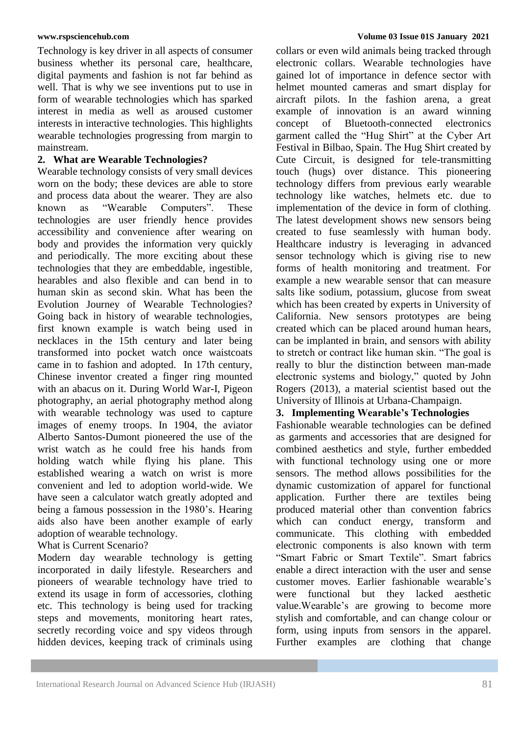Technology is key driver in all aspects of consumer business whether its personal care, healthcare, digital payments and fashion is not far behind as well. That is why we see inventions put to use in form of wearable technologies which has sparked interest in media as well as aroused customer interests in interactive technologies. This highlights wearable technologies progressing from margin to mainstream.

### **2. What are Wearable Technologies?**

Wearable technology consists of very small devices worn on the body; these devices are able to store and process data about the wearer. They are also known as "Wearable Computers". These technologies are user friendly hence provides accessibility and convenience after wearing on body and provides the information very quickly and periodically. The more exciting about these technologies that they are embeddable, ingestible, hearables and also flexible and can bend in to human skin as second skin. What has been the Evolution Journey of Wearable Technologies? Going back in history of wearable technologies, first known example is watch being used in necklaces in the 15th century and later being transformed into pocket watch once waistcoats came in to fashion and adopted. In 17th century, Chinese inventor created a finger ring mounted with an abacus on it. During World War-I, Pigeon photography, an aerial photography method along with wearable technology was used to capture images of enemy troops. In 1904, the aviator Alberto Santos-Dumont pioneered the use of the wrist watch as he could free his hands from holding watch while flying his plane. This established wearing a watch on wrist is more convenient and led to adoption world-wide. We have seen a calculator watch greatly adopted and being a famous possession in the 1980's. Hearing aids also have been another example of early adoption of wearable technology.

## What is Current Scenario?

Modern day wearable technology is getting incorporated in daily lifestyle. Researchers and pioneers of wearable technology have tried to extend its usage in form of accessories, clothing etc. This technology is being used for tracking steps and movements, monitoring heart rates, secretly recording voice and spy videos through hidden devices, keeping track of criminals using

collars or even wild animals being tracked through electronic collars. Wearable technologies have gained lot of importance in defence sector with helmet mounted cameras and smart display for aircraft pilots. In the fashion arena, a great example of innovation is an award winning concept of Bluetooth-connected electronics garment called the "Hug Shirt" at the Cyber Art Festival in Bilbao, Spain. The Hug Shirt created by Cute Circuit, is designed for tele-transmitting touch (hugs) over distance. This pioneering technology differs from previous early wearable technology like watches, helmets etc. due to implementation of the device in form of clothing. The latest development shows new sensors being created to fuse seamlessly with human body. Healthcare industry is leveraging in advanced sensor technology which is giving rise to new forms of health monitoring and treatment. For example a new wearable sensor that can measure salts like sodium, potassium, glucose from sweat which has been created by experts in University of California. New sensors prototypes are being created which can be placed around human hears, can be implanted in brain, and sensors with ability to stretch or contract like human skin. "The goal is really to blur the distinction between man-made electronic systems and biology," quoted by John Rogers (2013), a material scientist based out the University of Illinois at Urbana-Champaign.

### **3. Implementing Wearable's Technologies**

Fashionable wearable technologies can be defined as garments and accessories that are designed for combined aesthetics and style, further embedded with functional technology using one or more sensors. The method allows possibilities for the dynamic customization of apparel for functional application. Further there are textiles being produced material other than convention fabrics which can conduct energy, transform and communicate. This clothing with embedded electronic components is also known with term "Smart Fabric or Smart Textile". Smart fabrics enable a direct interaction with the user and sense customer moves. Earlier fashionable wearable's were functional but they lacked aesthetic value.Wearable's are growing to become more stylish and comfortable, and can change colour or form, using inputs from sensors in the apparel. Further examples are clothing that change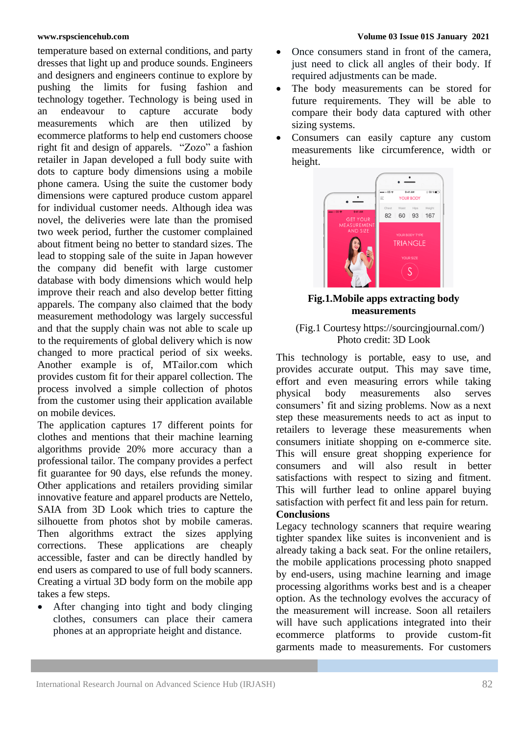temperature based on external conditions, and party dresses that light up and produce sounds. Engineers and designers and engineers continue to explore by pushing the limits for fusing fashion and technology together. Technology is being used in an endeavour to capture accurate body measurements which are then utilized by ecommerce platforms to help end customers choose right fit and design of apparels. "Zozo" a fashion retailer in Japan developed a full body suite with dots to capture body dimensions using a mobile phone camera. Using the suite the customer body dimensions were captured produce custom apparel for individual customer needs. Although idea was novel, the deliveries were late than the promised two week period, further the customer complained about fitment being no better to standard sizes. The lead to stopping sale of the suite in Japan however the company did benefit with large customer database with body dimensions which would help improve their reach and also develop better fitting apparels. The company also claimed that the body measurement methodology was largely successful and that the supply chain was not able to scale up to the requirements of global delivery which is now changed to more practical period of six weeks. Another example is of, MTailor.com which provides custom fit for their apparel collection. The process involved a simple collection of photos from the customer using their application available on mobile devices.

The application captures 17 different points for clothes and mentions that their machine learning algorithms provide 20% more accuracy than a professional tailor. The company provides a perfect fit guarantee for 90 days, else refunds the money. Other applications and retailers providing similar innovative feature and apparel products are Nettelo, SAIA from 3D Look which tries to capture the silhouette from photos shot by mobile cameras. Then algorithms extract the sizes applying corrections. These applications are cheaply accessible, faster and can be directly handled by end users as compared to use of full body scanners. Creating a virtual 3D body form on the mobile app takes a few steps.

 After changing into tight and body clinging clothes, consumers can place their camera phones at an appropriate height and distance.

### **www.rspsciencehub.com Volume 03 Issue 01S January 2021**

- Once consumers stand in front of the camera, just need to click all angles of their body. If required adjustments can be made.
- The body measurements can be stored for future requirements. They will be able to compare their body data captured with other sizing systems.
- Consumers can easily capture any custom measurements like circumference, width or height.



**Fig.1.Mobile apps extracting body measurements**

### (Fig.1 Courtesy [https://sourcingjournal.com/\)](https://sourcingjournal.com/) Photo credit: 3D Look

This technology is portable, easy to use, and provides accurate output. This may save time, effort and even measuring errors while taking physical body measurements also serves consumers' fit and sizing problems. Now as a next step these measurements needs to act as input to retailers to leverage these measurements when consumers initiate shopping on e-commerce site. This will ensure great shopping experience for consumers and will also result in better satisfactions with respect to sizing and fitment. This will further lead to online apparel buying satisfaction with perfect fit and less pain for return.

# **Conclusions**

Legacy technology scanners that require wearing tighter spandex like suites is inconvenient and is already taking a back seat. For the online retailers, the mobile applications processing photo snapped by end-users, using machine learning and image processing algorithms works best and is a cheaper option. As the technology evolves the accuracy of the measurement will increase. Soon all retailers will have such applications integrated into their ecommerce platforms to provide custom-fit garments made to measurements. For customers